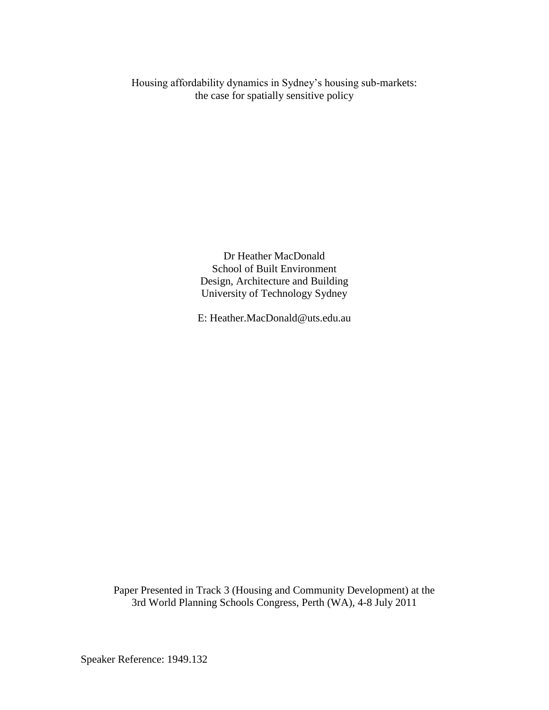Housing affordability dynamics in Sydney's housing sub-markets: the case for spatially sensitive policy

> Dr Heather MacDonald School of Built Environment Design, Architecture and Building University of Technology Sydney

E: Heather.MacDonald@uts.edu.au

Paper Presented in Track 3 (Housing and Community Development) at the 3rd World Planning Schools Congress, Perth (WA), 4-8 July 2011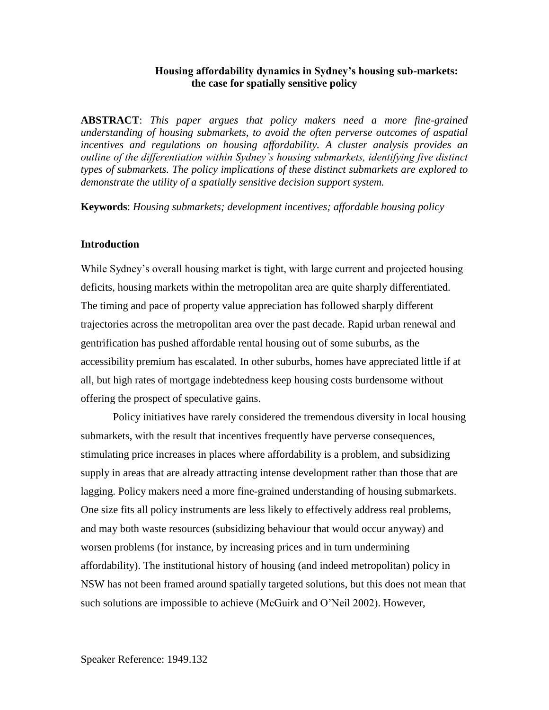#### **Housing affordability dynamics in Sydney's housing sub-markets: the case for spatially sensitive policy**

**ABSTRACT**: *This paper argues that policy makers need a more fine-grained understanding of housing submarkets, to avoid the often perverse outcomes of aspatial incentives and regulations on housing affordability. A cluster analysis provides an outline of the differentiation within Sydney's housing submarkets, identifying five distinct types of submarkets. The policy implications of these distinct submarkets are explored to demonstrate the utility of a spatially sensitive decision support system.*

**Keywords**: *Housing submarkets; development incentives; affordable housing policy*

#### **Introduction**

While Sydney's overall housing market is tight, with large current and projected housing deficits, housing markets within the metropolitan area are quite sharply differentiated. The timing and pace of property value appreciation has followed sharply different trajectories across the metropolitan area over the past decade. Rapid urban renewal and gentrification has pushed affordable rental housing out of some suburbs, as the accessibility premium has escalated. In other suburbs, homes have appreciated little if at all, but high rates of mortgage indebtedness keep housing costs burdensome without offering the prospect of speculative gains.

Policy initiatives have rarely considered the tremendous diversity in local housing submarkets, with the result that incentives frequently have perverse consequences, stimulating price increases in places where affordability is a problem, and subsidizing supply in areas that are already attracting intense development rather than those that are lagging. Policy makers need a more fine-grained understanding of housing submarkets. One size fits all policy instruments are less likely to effectively address real problems, and may both waste resources (subsidizing behaviour that would occur anyway) and worsen problems (for instance, by increasing prices and in turn undermining affordability). The institutional history of housing (and indeed metropolitan) policy in NSW has not been framed around spatially targeted solutions, but this does not mean that such solutions are impossible to achieve (McGuirk and O'Neil 2002). However,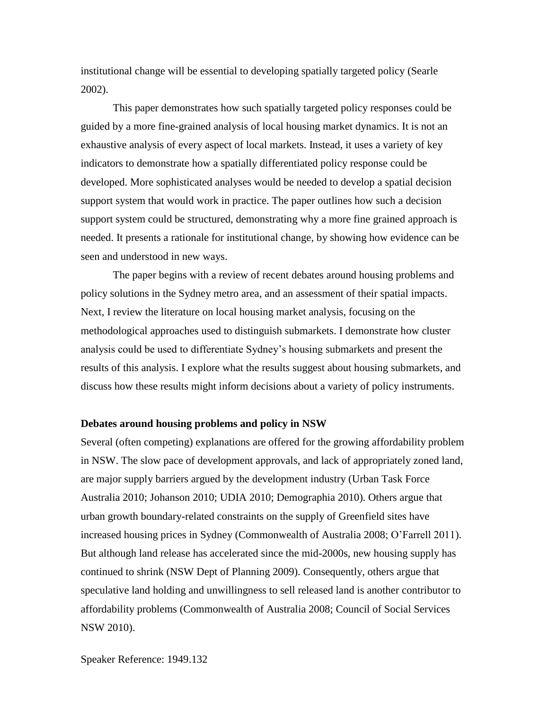institutional change will be essential to developing spatially targeted policy (Searle 2002).

This paper demonstrates how such spatially targeted policy responses could be guided by a more fine-grained analysis of local housing market dynamics. It is not an exhaustive analysis of every aspect of local markets. Instead, it uses a variety of key indicators to demonstrate how a spatially differentiated policy response could be developed. More sophisticated analyses would be needed to develop a spatial decision support system that would work in practice. The paper outlines how such a decision support system could be structured, demonstrating why a more fine grained approach is needed. It presents a rationale for institutional change, by showing how evidence can be seen and understood in new ways.

The paper begins with a review of recent debates around housing problems and policy solutions in the Sydney metro area, and an assessment of their spatial impacts. Next, I review the literature on local housing market analysis, focusing on the methodological approaches used to distinguish submarkets. I demonstrate how cluster analysis could be used to differentiate Sydney's housing submarkets and present the results of this analysis. I explore what the results suggest about housing submarkets, and discuss how these results might inform decisions about a variety of policy instruments.

#### **Debates around housing problems and policy in NSW**

Several (often competing) explanations are offered for the growing affordability problem in NSW. The slow pace of development approvals, and lack of appropriately zoned land, are major supply barriers argued by the development industry (Urban Task Force Australia 2010; Johanson 2010; UDIA 2010; Demographia 2010). Others argue that urban growth boundary-related constraints on the supply of Greenfield sites have increased housing prices in Sydney (Commonwealth of Australia 2008; O'Farrell 2011). But although land release has accelerated since the mid-2000s, new housing supply has continued to shrink (NSW Dept of Planning 2009). Consequently, others argue that speculative land holding and unwillingness to sell released land is another contributor to affordability problems (Commonwealth of Australia 2008; Council of Social Services NSW 2010).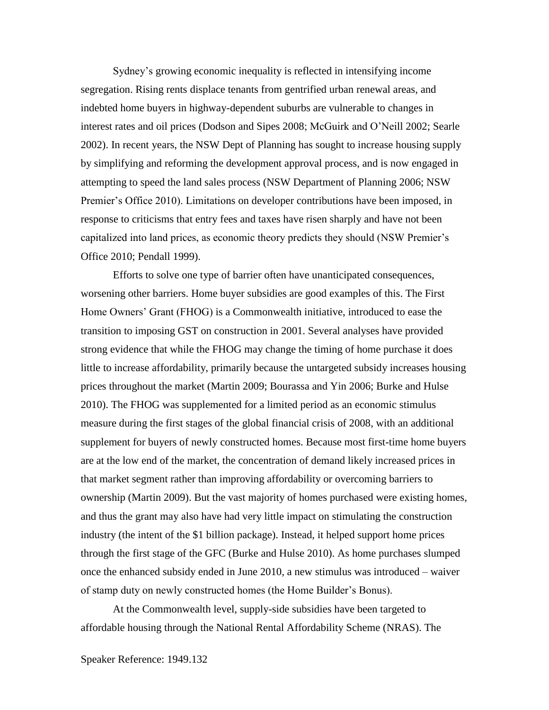Sydney's growing economic inequality is reflected in intensifying income segregation. Rising rents displace tenants from gentrified urban renewal areas, and indebted home buyers in highway-dependent suburbs are vulnerable to changes in interest rates and oil prices (Dodson and Sipes 2008; McGuirk and O'Neill 2002; Searle 2002). In recent years, the NSW Dept of Planning has sought to increase housing supply by simplifying and reforming the development approval process, and is now engaged in attempting to speed the land sales process (NSW Department of Planning 2006; NSW Premier's Office 2010). Limitations on developer contributions have been imposed, in response to criticisms that entry fees and taxes have risen sharply and have not been capitalized into land prices, as economic theory predicts they should (NSW Premier's Office 2010; Pendall 1999).

Efforts to solve one type of barrier often have unanticipated consequences, worsening other barriers. Home buyer subsidies are good examples of this. The First Home Owners' Grant (FHOG) is a Commonwealth initiative, introduced to ease the transition to imposing GST on construction in 2001. Several analyses have provided strong evidence that while the FHOG may change the timing of home purchase it does little to increase affordability, primarily because the untargeted subsidy increases housing prices throughout the market (Martin 2009; Bourassa and Yin 2006; Burke and Hulse 2010). The FHOG was supplemented for a limited period as an economic stimulus measure during the first stages of the global financial crisis of 2008, with an additional supplement for buyers of newly constructed homes. Because most first-time home buyers are at the low end of the market, the concentration of demand likely increased prices in that market segment rather than improving affordability or overcoming barriers to ownership (Martin 2009). But the vast majority of homes purchased were existing homes, and thus the grant may also have had very little impact on stimulating the construction industry (the intent of the \$1 billion package). Instead, it helped support home prices through the first stage of the GFC (Burke and Hulse 2010). As home purchases slumped once the enhanced subsidy ended in June 2010, a new stimulus was introduced – waiver of stamp duty on newly constructed homes (the Home Builder's Bonus).

At the Commonwealth level, supply-side subsidies have been targeted to affordable housing through the National Rental Affordability Scheme (NRAS). The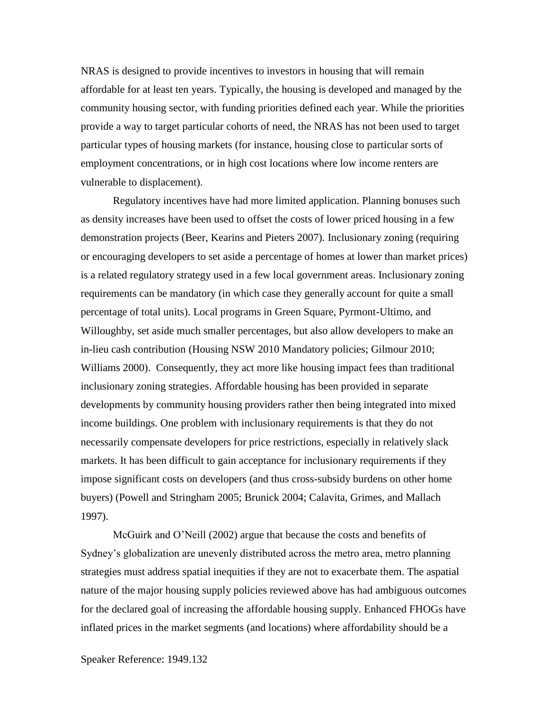NRAS is designed to provide incentives to investors in housing that will remain affordable for at least ten years. Typically, the housing is developed and managed by the community housing sector, with funding priorities defined each year. While the priorities provide a way to target particular cohorts of need, the NRAS has not been used to target particular types of housing markets (for instance, housing close to particular sorts of employment concentrations, or in high cost locations where low income renters are vulnerable to displacement).

Regulatory incentives have had more limited application. Planning bonuses such as density increases have been used to offset the costs of lower priced housing in a few demonstration projects (Beer, Kearins and Pieters 2007). Inclusionary zoning (requiring or encouraging developers to set aside a percentage of homes at lower than market prices) is a related regulatory strategy used in a few local government areas. Inclusionary zoning requirements can be mandatory (in which case they generally account for quite a small percentage of total units). Local programs in Green Square, Pyrmont-Ultimo, and Willoughby, set aside much smaller percentages, but also allow developers to make an in-lieu cash contribution (Housing NSW 2010 Mandatory policies; Gilmour 2010; Williams 2000). Consequently, they act more like housing impact fees than traditional inclusionary zoning strategies. Affordable housing has been provided in separate developments by community housing providers rather then being integrated into mixed income buildings. One problem with inclusionary requirements is that they do not necessarily compensate developers for price restrictions, especially in relatively slack markets. It has been difficult to gain acceptance for inclusionary requirements if they impose significant costs on developers (and thus cross-subsidy burdens on other home buyers) (Powell and Stringham 2005; Brunick 2004; Calavita, Grimes, and Mallach 1997).

McGuirk and O'Neill (2002) argue that because the costs and benefits of Sydney's globalization are unevenly distributed across the metro area, metro planning strategies must address spatial inequities if they are not to exacerbate them. The aspatial nature of the major housing supply policies reviewed above has had ambiguous outcomes for the declared goal of increasing the affordable housing supply. Enhanced FHOGs have inflated prices in the market segments (and locations) where affordability should be a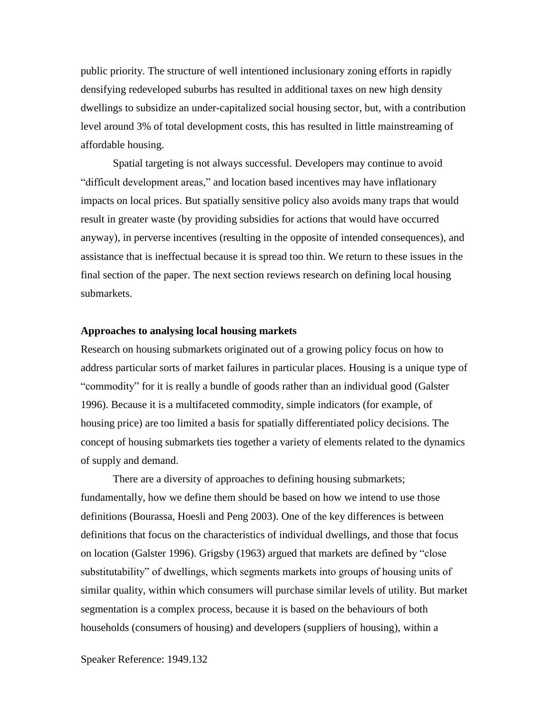public priority. The structure of well intentioned inclusionary zoning efforts in rapidly densifying redeveloped suburbs has resulted in additional taxes on new high density dwellings to subsidize an under-capitalized social housing sector, but, with a contribution level around 3% of total development costs, this has resulted in little mainstreaming of affordable housing.

Spatial targeting is not always successful. Developers may continue to avoid "difficult development areas," and location based incentives may have inflationary impacts on local prices. But spatially sensitive policy also avoids many traps that would result in greater waste (by providing subsidies for actions that would have occurred anyway), in perverse incentives (resulting in the opposite of intended consequences), and assistance that is ineffectual because it is spread too thin. We return to these issues in the final section of the paper. The next section reviews research on defining local housing submarkets.

#### **Approaches to analysing local housing markets**

Research on housing submarkets originated out of a growing policy focus on how to address particular sorts of market failures in particular places. Housing is a unique type of "commodity" for it is really a bundle of goods rather than an individual good (Galster 1996). Because it is a multifaceted commodity, simple indicators (for example, of housing price) are too limited a basis for spatially differentiated policy decisions. The concept of housing submarkets ties together a variety of elements related to the dynamics of supply and demand.

There are a diversity of approaches to defining housing submarkets; fundamentally, how we define them should be based on how we intend to use those definitions (Bourassa, Hoesli and Peng 2003). One of the key differences is between definitions that focus on the characteristics of individual dwellings, and those that focus on location (Galster 1996). Grigsby (1963) argued that markets are defined by "close substitutability" of dwellings, which segments markets into groups of housing units of similar quality, within which consumers will purchase similar levels of utility. But market segmentation is a complex process, because it is based on the behaviours of both households (consumers of housing) and developers (suppliers of housing), within a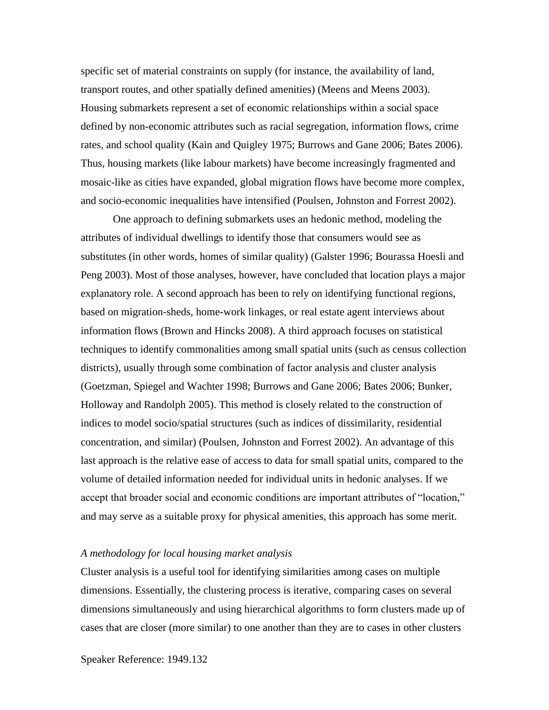specific set of material constraints on supply (for instance, the availability of land, transport routes, and other spatially defined amenities) (Meens and Meens 2003). Housing submarkets represent a set of economic relationships within a social space defined by non-economic attributes such as racial segregation, information flows, crime rates, and school quality (Kain and Quigley 1975; Burrows and Gane 2006; Bates 2006). Thus, housing markets (like labour markets) have become increasingly fragmented and mosaic-like as cities have expanded, global migration flows have become more complex, and socio-economic inequalities have intensified (Poulsen, Johnston and Forrest 2002).

One approach to defining submarkets uses an hedonic method, modeling the attributes of individual dwellings to identify those that consumers would see as substitutes (in other words, homes of similar quality) (Galster 1996; Bourassa Hoesli and Peng 2003). Most of those analyses, however, have concluded that location plays a major explanatory role. A second approach has been to rely on identifying functional regions, based on migration-sheds, home-work linkages, or real estate agent interviews about information flows (Brown and Hincks 2008). A third approach focuses on statistical techniques to identify commonalities among small spatial units (such as census collection districts), usually through some combination of factor analysis and cluster analysis (Goetzman, Spiegel and Wachter 1998; Burrows and Gane 2006; Bates 2006; Bunker, Holloway and Randolph 2005). This method is closely related to the construction of indices to model socio/spatial structures (such as indices of dissimilarity, residential concentration, and similar) (Poulsen, Johnston and Forrest 2002). An advantage of this last approach is the relative ease of access to data for small spatial units, compared to the volume of detailed information needed for individual units in hedonic analyses. If we accept that broader social and economic conditions are important attributes of "location," and may serve as a suitable proxy for physical amenities, this approach has some merit.

#### *A methodology for local housing market analysis*

Cluster analysis is a useful tool for identifying similarities among cases on multiple dimensions. Essentially, the clustering process is iterative, comparing cases on several dimensions simultaneously and using hierarchical algorithms to form clusters made up of cases that are closer (more similar) to one another than they are to cases in other clusters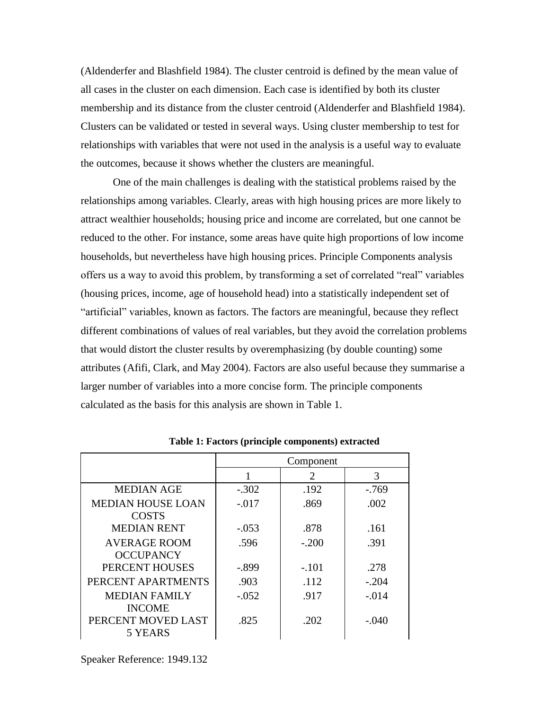(Aldenderfer and Blashfield 1984). The cluster centroid is defined by the mean value of all cases in the cluster on each dimension. Each case is identified by both its cluster membership and its distance from the cluster centroid (Aldenderfer and Blashfield 1984). Clusters can be validated or tested in several ways. Using cluster membership to test for relationships with variables that were not used in the analysis is a useful way to evaluate the outcomes, because it shows whether the clusters are meaningful.

One of the main challenges is dealing with the statistical problems raised by the relationships among variables. Clearly, areas with high housing prices are more likely to attract wealthier households; housing price and income are correlated, but one cannot be reduced to the other. For instance, some areas have quite high proportions of low income households, but nevertheless have high housing prices. Principle Components analysis offers us a way to avoid this problem, by transforming a set of correlated "real" variables (housing prices, income, age of household head) into a statistically independent set of "artificial" variables, known as factors. The factors are meaningful, because they reflect different combinations of values of real variables, but they avoid the correlation problems that would distort the cluster results by overemphasizing (by double counting) some attributes (Afifi, Clark, and May 2004). Factors are also useful because they summarise a larger number of variables into a more concise form. The principle components calculated as the basis for this analysis are shown in Table 1.

|                          | Component |                       |         |  |
|--------------------------|-----------|-----------------------|---------|--|
|                          |           | $\mathcal{D}_{\cdot}$ | 3       |  |
| <b>MEDIAN AGE</b>        | $-.302$   | .192                  | $-769$  |  |
| <b>MEDIAN HOUSE LOAN</b> | $-.017$   | .869                  | .002    |  |
| <b>COSTS</b>             |           |                       |         |  |
| <b>MEDIAN RENT</b>       | $-.053$   | .878                  | .161    |  |
| <b>AVERAGE ROOM</b>      | .596      | $-.200$               | .391    |  |
| <b>OCCUPANCY</b>         |           |                       |         |  |
| PERCENT HOUSES           | -.899     | $-.101$               | .278    |  |
| PERCENT APARTMENTS       | .903      | .112                  | $-.204$ |  |
| <b>MEDIAN FAMILY</b>     | $-.052$   | .917                  | $-.014$ |  |
| <b>INCOME</b>            |           |                       |         |  |
| PERCENT MOVED LAST       | .825      | -202                  | $-.040$ |  |
| 5 YEARS                  |           |                       |         |  |

**Table 1: Factors (principle components) extracted**

Speaker Reference: 1949.132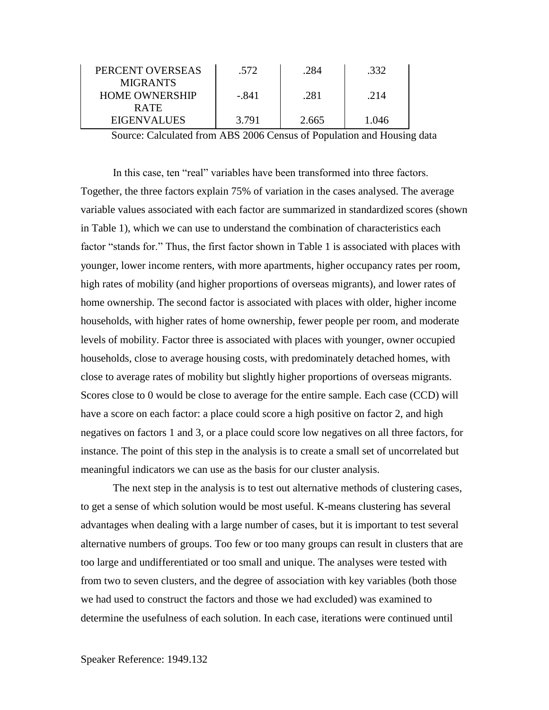| PERCENT OVERSEAS      | .572  | 284   | .332  |  |
|-----------------------|-------|-------|-------|--|
| <b>MIGRANTS</b>       |       |       |       |  |
| <b>HOME OWNERSHIP</b> | - 841 | .281  | .214  |  |
| <b>RATE</b>           |       |       |       |  |
| <b>EIGENVALUES</b>    | 3.791 | 2.665 | 0.146 |  |

Source: Calculated from ABS 2006 Census of Population and Housing data

In this case, ten "real" variables have been transformed into three factors. Together, the three factors explain 75% of variation in the cases analysed. The average variable values associated with each factor are summarized in standardized scores (shown in Table 1), which we can use to understand the combination of characteristics each factor "stands for." Thus, the first factor shown in Table 1 is associated with places with younger, lower income renters, with more apartments, higher occupancy rates per room, high rates of mobility (and higher proportions of overseas migrants), and lower rates of home ownership. The second factor is associated with places with older, higher income households, with higher rates of home ownership, fewer people per room, and moderate levels of mobility. Factor three is associated with places with younger, owner occupied households, close to average housing costs, with predominately detached homes, with close to average rates of mobility but slightly higher proportions of overseas migrants. Scores close to 0 would be close to average for the entire sample. Each case (CCD) will have a score on each factor: a place could score a high positive on factor 2, and high negatives on factors 1 and 3, or a place could score low negatives on all three factors, for instance. The point of this step in the analysis is to create a small set of uncorrelated but meaningful indicators we can use as the basis for our cluster analysis.

The next step in the analysis is to test out alternative methods of clustering cases, to get a sense of which solution would be most useful. K-means clustering has several advantages when dealing with a large number of cases, but it is important to test several alternative numbers of groups. Too few or too many groups can result in clusters that are too large and undifferentiated or too small and unique. The analyses were tested with from two to seven clusters, and the degree of association with key variables (both those we had used to construct the factors and those we had excluded) was examined to determine the usefulness of each solution. In each case, iterations were continued until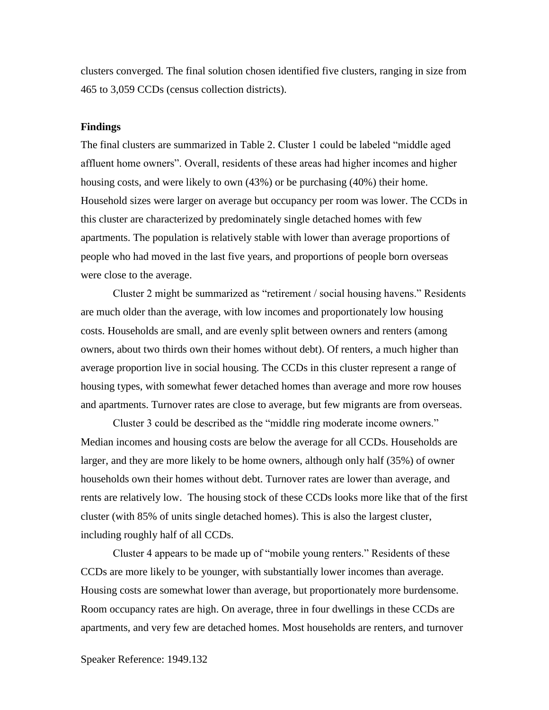clusters converged. The final solution chosen identified five clusters, ranging in size from 465 to 3,059 CCDs (census collection districts).

#### **Findings**

The final clusters are summarized in Table 2. Cluster 1 could be labeled "middle aged affluent home owners". Overall, residents of these areas had higher incomes and higher housing costs, and were likely to own (43%) or be purchasing (40%) their home. Household sizes were larger on average but occupancy per room was lower. The CCDs in this cluster are characterized by predominately single detached homes with few apartments. The population is relatively stable with lower than average proportions of people who had moved in the last five years, and proportions of people born overseas were close to the average.

Cluster 2 might be summarized as "retirement / social housing havens." Residents are much older than the average, with low incomes and proportionately low housing costs. Households are small, and are evenly split between owners and renters (among owners, about two thirds own their homes without debt). Of renters, a much higher than average proportion live in social housing. The CCDs in this cluster represent a range of housing types, with somewhat fewer detached homes than average and more row houses and apartments. Turnover rates are close to average, but few migrants are from overseas.

Cluster 3 could be described as the "middle ring moderate income owners." Median incomes and housing costs are below the average for all CCDs. Households are larger, and they are more likely to be home owners, although only half (35%) of owner households own their homes without debt. Turnover rates are lower than average, and rents are relatively low. The housing stock of these CCDs looks more like that of the first cluster (with 85% of units single detached homes). This is also the largest cluster, including roughly half of all CCDs.

Cluster 4 appears to be made up of "mobile young renters." Residents of these CCDs are more likely to be younger, with substantially lower incomes than average. Housing costs are somewhat lower than average, but proportionately more burdensome. Room occupancy rates are high. On average, three in four dwellings in these CCDs are apartments, and very few are detached homes. Most households are renters, and turnover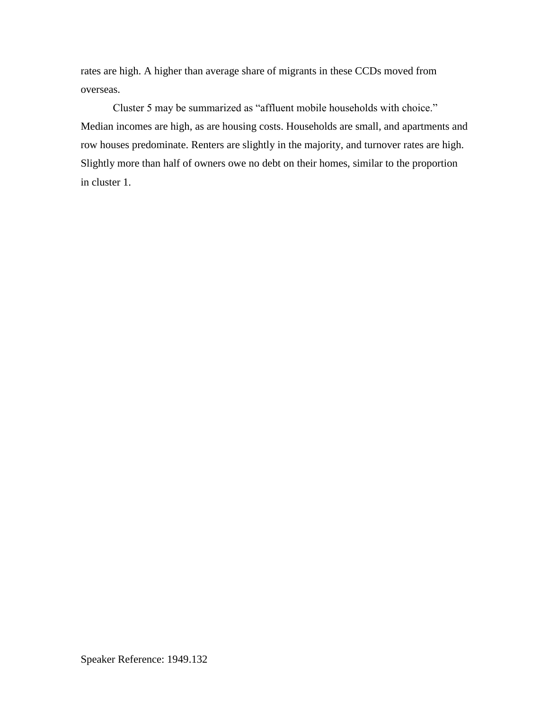rates are high. A higher than average share of migrants in these CCDs moved from overseas.

Cluster 5 may be summarized as "affluent mobile households with choice." Median incomes are high, as are housing costs. Households are small, and apartments and row houses predominate. Renters are slightly in the majority, and turnover rates are high. Slightly more than half of owners owe no debt on their homes, similar to the proportion in cluster 1.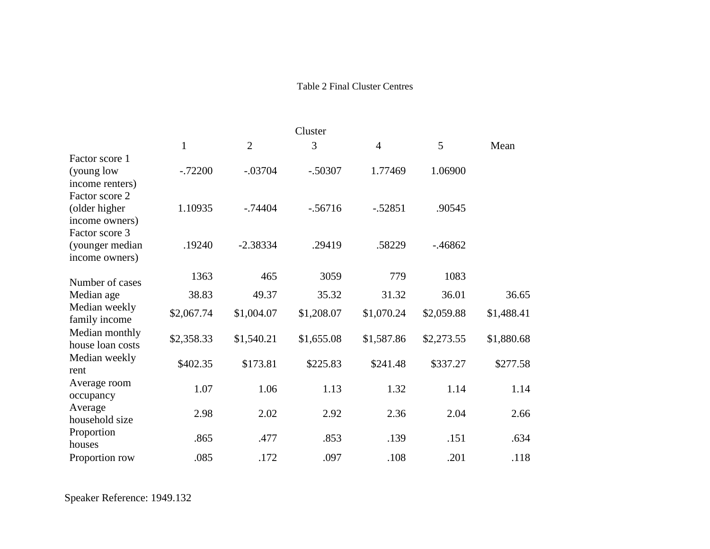## Table 2 Final Cluster Centres

| Cluster                                                           |              |                |            |                |            |            |
|-------------------------------------------------------------------|--------------|----------------|------------|----------------|------------|------------|
|                                                                   | $\mathbf{1}$ | $\overline{2}$ | 3          | $\overline{4}$ | 5          | Mean       |
| Factor score 1<br>(young low<br>income renters)<br>Factor score 2 | $-.72200$    | $-.03704$      | $-.50307$  | 1.77469        | 1.06900    |            |
| (older higher<br>income owners)<br>Factor score 3                 | 1.10935      | $-0.74404$     | $-.56716$  | $-.52851$      | .90545     |            |
| (younger median<br>income owners)                                 | .19240       | $-2.38334$     | .29419     | .58229         | $-0.46862$ |            |
| Number of cases                                                   | 1363         | 465            | 3059       | 779            | 1083       |            |
| Median age                                                        | 38.83        | 49.37          | 35.32      | 31.32          | 36.01      | 36.65      |
| Median weekly<br>family income                                    | \$2,067.74   | \$1,004.07     | \$1,208.07 | \$1,070.24     | \$2,059.88 | \$1,488.41 |
| Median monthly<br>house loan costs                                | \$2,358.33   | \$1,540.21     | \$1,655.08 | \$1,587.86     | \$2,273.55 | \$1,880.68 |
| Median weekly<br>rent                                             | \$402.35     | \$173.81       | \$225.83   | \$241.48       | \$337.27   | \$277.58   |
| Average room<br>occupancy                                         | 1.07         | 1.06           | 1.13       | 1.32           | 1.14       | 1.14       |
| Average<br>household size                                         | 2.98         | 2.02           | 2.92       | 2.36           | 2.04       | 2.66       |
| Proportion<br>houses                                              | .865         | .477           | .853       | .139           | .151       | .634       |
| Proportion row                                                    | .085         | .172           | .097       | .108           | .201       | .118       |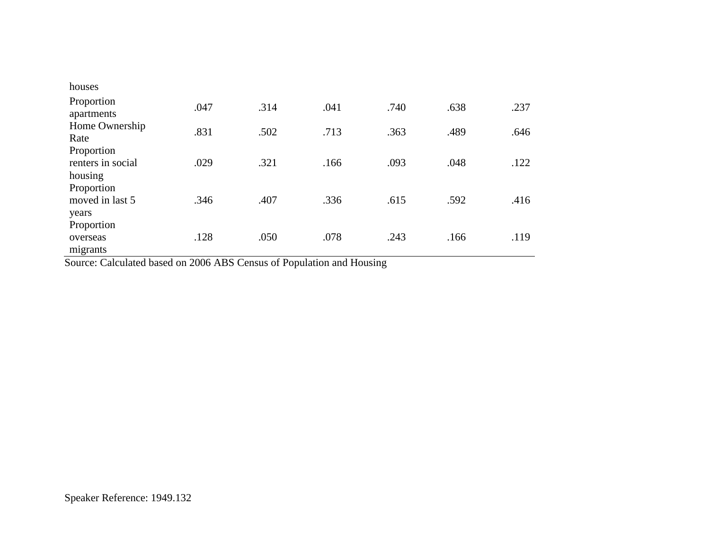| houses                                     |      |      |      |      |      |      |
|--------------------------------------------|------|------|------|------|------|------|
| Proportion<br>apartments                   | .047 | .314 | .041 | .740 | .638 | .237 |
| Home Ownership<br>Rate                     | .831 | .502 | .713 | .363 | .489 | .646 |
| Proportion<br>renters in social<br>housing | .029 | .321 | .166 | .093 | .048 | .122 |
| Proportion<br>moved in last 5<br>years     | .346 | .407 | .336 | .615 | .592 | .416 |
| Proportion<br>overseas<br>migrants         | .128 | .050 | .078 | .243 | .166 | .119 |

Source: Calculated based on 2006 ABS Census of Population and Housing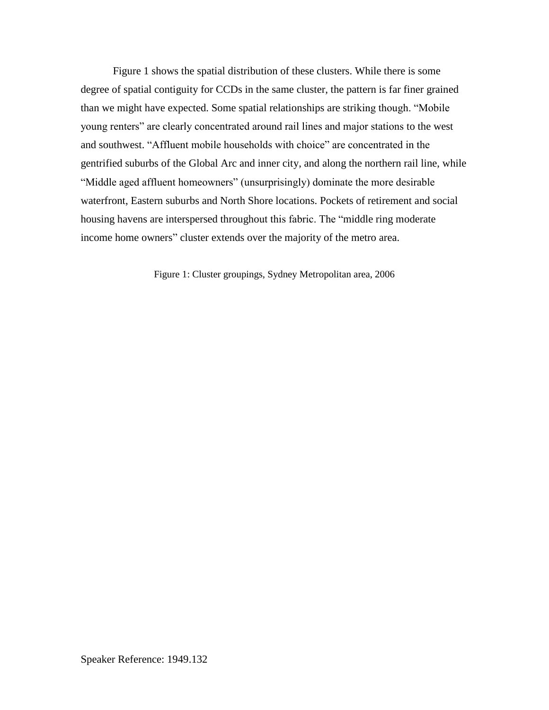Figure 1 shows the spatial distribution of these clusters. While there is some degree of spatial contiguity for CCDs in the same cluster, the pattern is far finer grained than we might have expected. Some spatial relationships are striking though. "Mobile young renters" are clearly concentrated around rail lines and major stations to the west and southwest. "Affluent mobile households with choice" are concentrated in the gentrified suburbs of the Global Arc and inner city, and along the northern rail line, while "Middle aged affluent homeowners" (unsurprisingly) dominate the more desirable waterfront, Eastern suburbs and North Shore locations. Pockets of retirement and social housing havens are interspersed throughout this fabric. The "middle ring moderate income home owners" cluster extends over the majority of the metro area.

Figure 1: Cluster groupings, Sydney Metropolitan area, 2006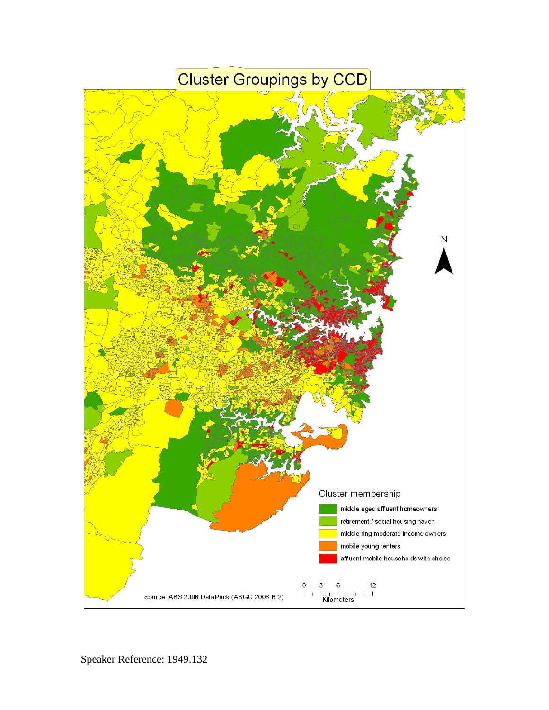# **Cluster Groupings by CCD**

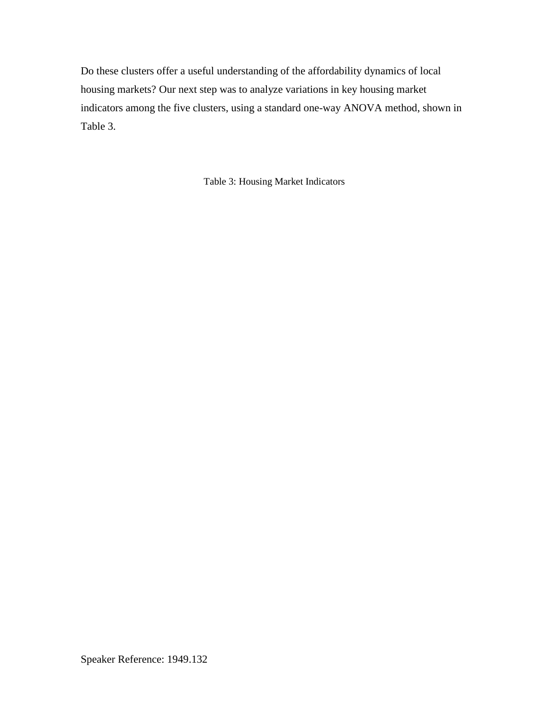Do these clusters offer a useful understanding of the affordability dynamics of local housing markets? Our next step was to analyze variations in key housing market indicators among the five clusters, using a standard one-way ANOVA method, shown in Table 3.

Table 3: Housing Market Indicators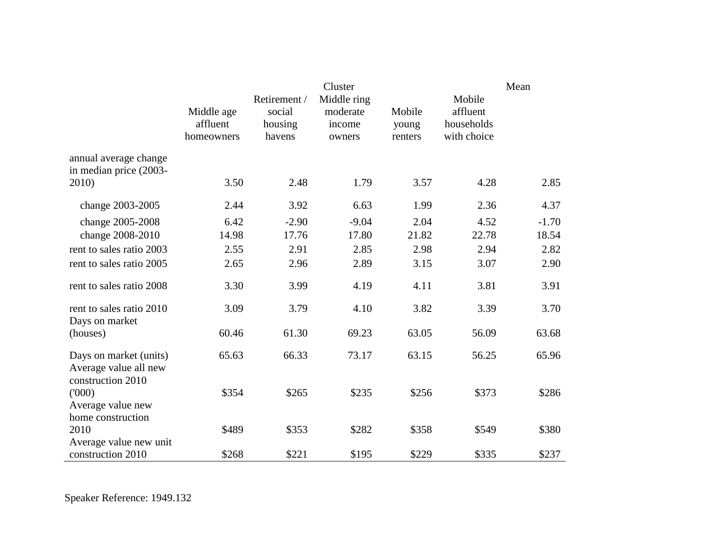|                                                                      | Middle age<br>affluent<br>homeowners | Retirement /<br>social<br>housing<br>havens | Cluster<br>Middle ring<br>moderate<br>income<br>owners | Mobile<br>young<br>renters | Mobile<br>affluent<br>households<br>with choice | Mean    |
|----------------------------------------------------------------------|--------------------------------------|---------------------------------------------|--------------------------------------------------------|----------------------------|-------------------------------------------------|---------|
| annual average change<br>in median price (2003-                      |                                      |                                             |                                                        |                            |                                                 |         |
| 2010)                                                                | 3.50                                 | 2.48                                        | 1.79                                                   | 3.57                       | 4.28                                            | 2.85    |
| change 2003-2005                                                     | 2.44                                 | 3.92                                        | 6.63                                                   | 1.99                       | 2.36                                            | 4.37    |
| change 2005-2008                                                     | 6.42                                 | $-2.90$                                     | $-9.04$                                                | 2.04                       | 4.52                                            | $-1.70$ |
| change 2008-2010                                                     | 14.98                                | 17.76                                       | 17.80                                                  | 21.82                      | 22.78                                           | 18.54   |
| rent to sales ratio 2003                                             | 2.55                                 | 2.91                                        | 2.85                                                   | 2.98                       | 2.94                                            | 2.82    |
| rent to sales ratio 2005                                             | 2.65                                 | 2.96                                        | 2.89                                                   | 3.15                       | 3.07                                            | 2.90    |
| rent to sales ratio 2008                                             | 3.30                                 | 3.99                                        | 4.19                                                   | 4.11                       | 3.81                                            | 3.91    |
| rent to sales ratio 2010<br>Days on market                           | 3.09                                 | 3.79                                        | 4.10                                                   | 3.82                       | 3.39                                            | 3.70    |
| (houses)                                                             | 60.46                                | 61.30                                       | 69.23                                                  | 63.05                      | 56.09                                           | 63.68   |
| Days on market (units)<br>Average value all new<br>construction 2010 | 65.63                                | 66.33                                       | 73.17                                                  | 63.15                      | 56.25                                           | 65.96   |
| (000)<br>Average value new<br>home construction                      | \$354                                | \$265                                       | \$235                                                  | \$256                      | \$373                                           | \$286   |
| 2010                                                                 | \$489                                | \$353                                       | \$282                                                  | \$358                      | \$549                                           | \$380   |
| Average value new unit<br>construction 2010                          | \$268                                | \$221                                       | \$195                                                  | \$229                      | \$335                                           | \$237   |

Speaker Reference: 1949.132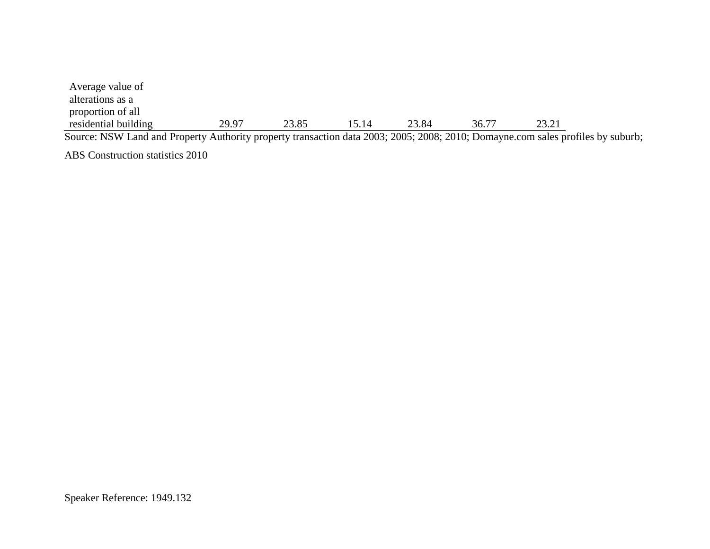| Average value of     |       |       |       |       |       |       |
|----------------------|-------|-------|-------|-------|-------|-------|
| alterations as a     |       |       |       |       |       |       |
| proportion of all    |       |       |       |       |       |       |
| residential building | 29.97 | 23.85 | 15.14 | 23.84 | 36.77 | 23.21 |

Source: NSW Land and Property Authority property transaction data 2003; 2005; 2008; 2010; Domayne.com sales profiles by suburb;

ABS Construction statistics 2010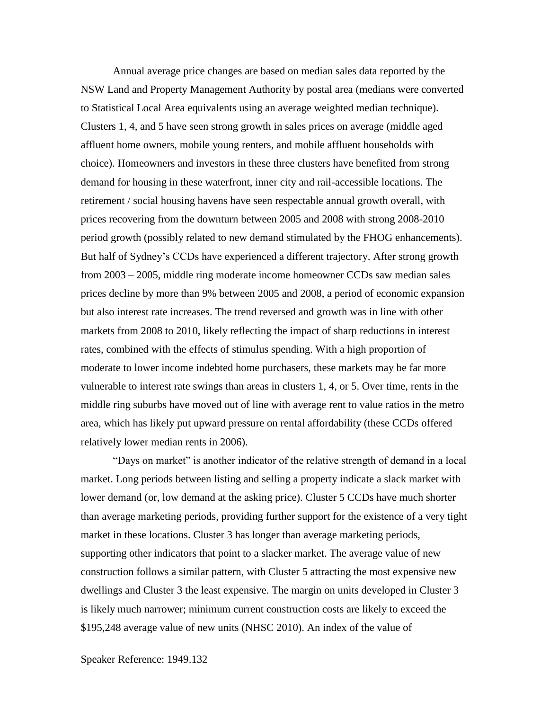Annual average price changes are based on median sales data reported by the NSW Land and Property Management Authority by postal area (medians were converted to Statistical Local Area equivalents using an average weighted median technique). Clusters 1, 4, and 5 have seen strong growth in sales prices on average (middle aged affluent home owners, mobile young renters, and mobile affluent households with choice). Homeowners and investors in these three clusters have benefited from strong demand for housing in these waterfront, inner city and rail-accessible locations. The retirement / social housing havens have seen respectable annual growth overall, with prices recovering from the downturn between 2005 and 2008 with strong 2008-2010 period growth (possibly related to new demand stimulated by the FHOG enhancements). But half of Sydney's CCDs have experienced a different trajectory. After strong growth from 2003 – 2005, middle ring moderate income homeowner CCDs saw median sales prices decline by more than 9% between 2005 and 2008, a period of economic expansion but also interest rate increases. The trend reversed and growth was in line with other markets from 2008 to 2010, likely reflecting the impact of sharp reductions in interest rates, combined with the effects of stimulus spending. With a high proportion of moderate to lower income indebted home purchasers, these markets may be far more vulnerable to interest rate swings than areas in clusters 1, 4, or 5. Over time, rents in the middle ring suburbs have moved out of line with average rent to value ratios in the metro area, which has likely put upward pressure on rental affordability (these CCDs offered relatively lower median rents in 2006).

"Days on market" is another indicator of the relative strength of demand in a local market. Long periods between listing and selling a property indicate a slack market with lower demand (or, low demand at the asking price). Cluster 5 CCDs have much shorter than average marketing periods, providing further support for the existence of a very tight market in these locations. Cluster 3 has longer than average marketing periods, supporting other indicators that point to a slacker market. The average value of new construction follows a similar pattern, with Cluster 5 attracting the most expensive new dwellings and Cluster 3 the least expensive. The margin on units developed in Cluster 3 is likely much narrower; minimum current construction costs are likely to exceed the \$195,248 average value of new units (NHSC 2010). An index of the value of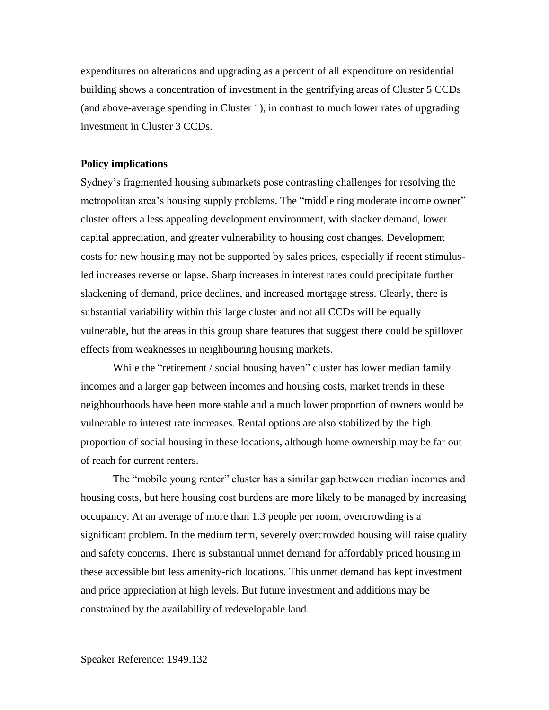expenditures on alterations and upgrading as a percent of all expenditure on residential building shows a concentration of investment in the gentrifying areas of Cluster 5 CCDs (and above-average spending in Cluster 1), in contrast to much lower rates of upgrading investment in Cluster 3 CCDs.

#### **Policy implications**

Sydney's fragmented housing submarkets pose contrasting challenges for resolving the metropolitan area's housing supply problems. The "middle ring moderate income owner" cluster offers a less appealing development environment, with slacker demand, lower capital appreciation, and greater vulnerability to housing cost changes. Development costs for new housing may not be supported by sales prices, especially if recent stimulusled increases reverse or lapse. Sharp increases in interest rates could precipitate further slackening of demand, price declines, and increased mortgage stress. Clearly, there is substantial variability within this large cluster and not all CCDs will be equally vulnerable, but the areas in this group share features that suggest there could be spillover effects from weaknesses in neighbouring housing markets.

While the "retirement / social housing haven" cluster has lower median family incomes and a larger gap between incomes and housing costs, market trends in these neighbourhoods have been more stable and a much lower proportion of owners would be vulnerable to interest rate increases. Rental options are also stabilized by the high proportion of social housing in these locations, although home ownership may be far out of reach for current renters.

The "mobile young renter" cluster has a similar gap between median incomes and housing costs, but here housing cost burdens are more likely to be managed by increasing occupancy. At an average of more than 1.3 people per room, overcrowding is a significant problem. In the medium term, severely overcrowded housing will raise quality and safety concerns. There is substantial unmet demand for affordably priced housing in these accessible but less amenity-rich locations. This unmet demand has kept investment and price appreciation at high levels. But future investment and additions may be constrained by the availability of redevelopable land.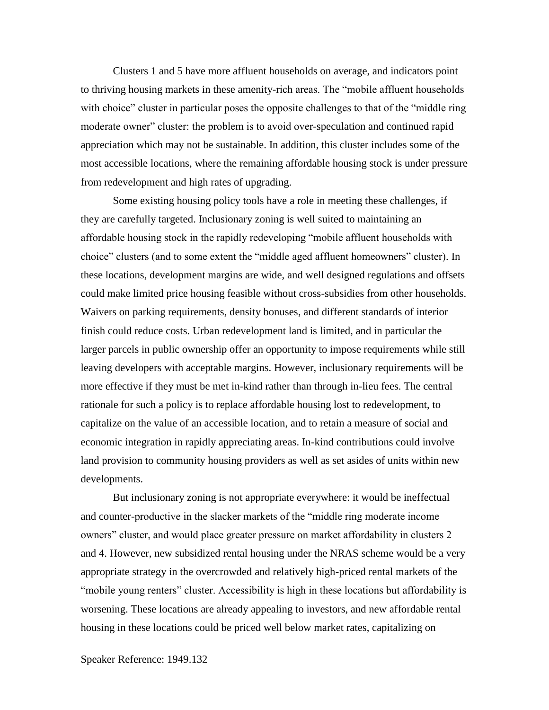Clusters 1 and 5 have more affluent households on average, and indicators point to thriving housing markets in these amenity-rich areas. The "mobile affluent households with choice" cluster in particular poses the opposite challenges to that of the "middle ring" moderate owner" cluster: the problem is to avoid over-speculation and continued rapid appreciation which may not be sustainable. In addition, this cluster includes some of the most accessible locations, where the remaining affordable housing stock is under pressure from redevelopment and high rates of upgrading.

Some existing housing policy tools have a role in meeting these challenges, if they are carefully targeted. Inclusionary zoning is well suited to maintaining an affordable housing stock in the rapidly redeveloping "mobile affluent households with choice" clusters (and to some extent the "middle aged affluent homeowners" cluster). In these locations, development margins are wide, and well designed regulations and offsets could make limited price housing feasible without cross-subsidies from other households. Waivers on parking requirements, density bonuses, and different standards of interior finish could reduce costs. Urban redevelopment land is limited, and in particular the larger parcels in public ownership offer an opportunity to impose requirements while still leaving developers with acceptable margins. However, inclusionary requirements will be more effective if they must be met in-kind rather than through in-lieu fees. The central rationale for such a policy is to replace affordable housing lost to redevelopment, to capitalize on the value of an accessible location, and to retain a measure of social and economic integration in rapidly appreciating areas. In-kind contributions could involve land provision to community housing providers as well as set asides of units within new developments.

But inclusionary zoning is not appropriate everywhere: it would be ineffectual and counter-productive in the slacker markets of the "middle ring moderate income owners" cluster, and would place greater pressure on market affordability in clusters 2 and 4. However, new subsidized rental housing under the NRAS scheme would be a very appropriate strategy in the overcrowded and relatively high-priced rental markets of the "mobile young renters" cluster. Accessibility is high in these locations but affordability is worsening. These locations are already appealing to investors, and new affordable rental housing in these locations could be priced well below market rates, capitalizing on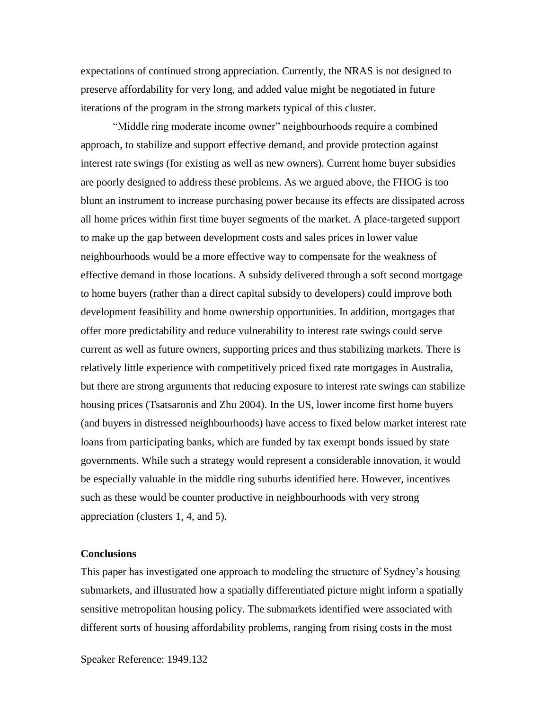expectations of continued strong appreciation. Currently, the NRAS is not designed to preserve affordability for very long, and added value might be negotiated in future iterations of the program in the strong markets typical of this cluster.

"Middle ring moderate income owner" neighbourhoods require a combined approach, to stabilize and support effective demand, and provide protection against interest rate swings (for existing as well as new owners). Current home buyer subsidies are poorly designed to address these problems. As we argued above, the FHOG is too blunt an instrument to increase purchasing power because its effects are dissipated across all home prices within first time buyer segments of the market. A place-targeted support to make up the gap between development costs and sales prices in lower value neighbourhoods would be a more effective way to compensate for the weakness of effective demand in those locations. A subsidy delivered through a soft second mortgage to home buyers (rather than a direct capital subsidy to developers) could improve both development feasibility and home ownership opportunities. In addition, mortgages that offer more predictability and reduce vulnerability to interest rate swings could serve current as well as future owners, supporting prices and thus stabilizing markets. There is relatively little experience with competitively priced fixed rate mortgages in Australia, but there are strong arguments that reducing exposure to interest rate swings can stabilize housing prices (Tsatsaronis and Zhu 2004). In the US, lower income first home buyers (and buyers in distressed neighbourhoods) have access to fixed below market interest rate loans from participating banks, which are funded by tax exempt bonds issued by state governments. While such a strategy would represent a considerable innovation, it would be especially valuable in the middle ring suburbs identified here. However, incentives such as these would be counter productive in neighbourhoods with very strong appreciation (clusters 1, 4, and 5).

#### **Conclusions**

This paper has investigated one approach to modeling the structure of Sydney's housing submarkets, and illustrated how a spatially differentiated picture might inform a spatially sensitive metropolitan housing policy. The submarkets identified were associated with different sorts of housing affordability problems, ranging from rising costs in the most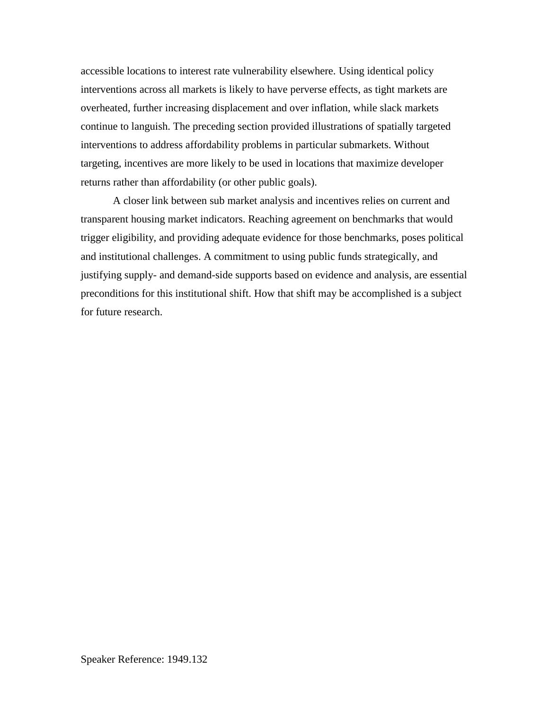accessible locations to interest rate vulnerability elsewhere. Using identical policy interventions across all markets is likely to have perverse effects, as tight markets are overheated, further increasing displacement and over inflation, while slack markets continue to languish. The preceding section provided illustrations of spatially targeted interventions to address affordability problems in particular submarkets. Without targeting, incentives are more likely to be used in locations that maximize developer returns rather than affordability (or other public goals).

A closer link between sub market analysis and incentives relies on current and transparent housing market indicators. Reaching agreement on benchmarks that would trigger eligibility, and providing adequate evidence for those benchmarks, poses political and institutional challenges. A commitment to using public funds strategically, and justifying supply- and demand-side supports based on evidence and analysis, are essential preconditions for this institutional shift. How that shift may be accomplished is a subject for future research.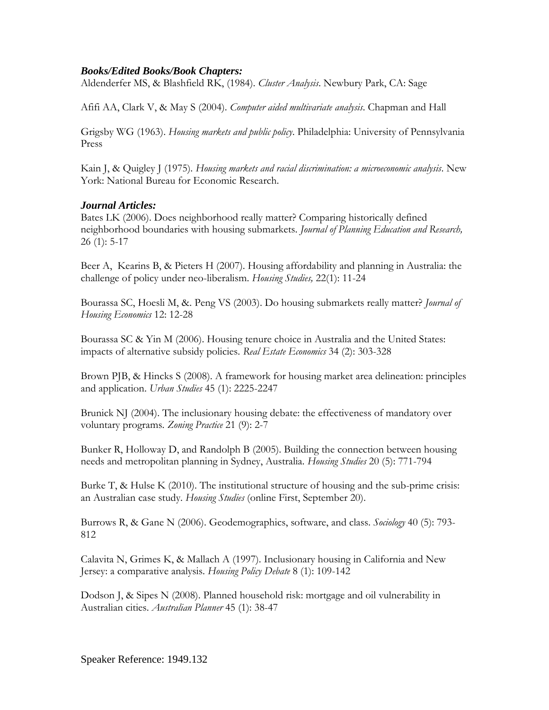#### *Books/Edited Books/Book Chapters:*

Aldenderfer MS, & Blashfield RK, (1984). *Cluster Analysis*. Newbury Park, CA: Sage

Afifi AA, Clark V, & May S (2004). *Computer aided multivariate analysis*. Chapman and Hall

Grigsby WG (1963). *Housing markets and public policy*. Philadelphia: University of Pennsylvania Press

Kain J, & Quigley J (1975). *Housing markets and racial discrimination: a microeconomic analysis*. New York: National Bureau for Economic Research.

#### *Journal Articles:*

Bates LK (2006). Does neighborhood really matter? Comparing historically defined neighborhood boundaries with housing submarkets. *Journal of Planning Education and Research,* 26 (1): 5-17

Beer A, Kearins B, & Pieters H (2007). Housing affordability and planning in Australia: the challenge of policy under neo-liberalism. *Housing Studies,* 22(1): 11-24

Bourassa SC, Hoesli M, &. Peng VS (2003). Do housing submarkets really matter? *Journal of Housing Economics* 12: 12-28

Bourassa SC & Yin M (2006). Housing tenure choice in Australia and the United States: impacts of alternative subsidy policies. *Real Estate Economics* 34 (2): 303-328

Brown PJB, & Hincks S (2008). A framework for housing market area delineation: principles and application. *Urban Studies* 45 (1): 2225-2247

Brunick NJ (2004). The inclusionary housing debate: the effectiveness of mandatory over voluntary programs. *Zoning Practice* 21 (9): 2-7

Bunker R, Holloway D, and Randolph B (2005). Building the connection between housing needs and metropolitan planning in Sydney, Australia. *Housing Studies* 20 (5): 771-794

Burke T,  $\&$  Hulse K (2010). The institutional structure of housing and the sub-prime crisis: an Australian case study. *Housing Studies* (online First, September 20).

Burrows R, & Gane N (2006). Geodemographics, software, and class. *Sociology* 40 (5): 793- 812

Calavita N, Grimes K, & Mallach A (1997). Inclusionary housing in California and New Jersey: a comparative analysis. *Housing Policy Debate* 8 (1): 109-142

Dodson J, & Sipes N (2008). Planned household risk: mortgage and oil vulnerability in Australian cities. *Australian Planner* 45 (1): 38-47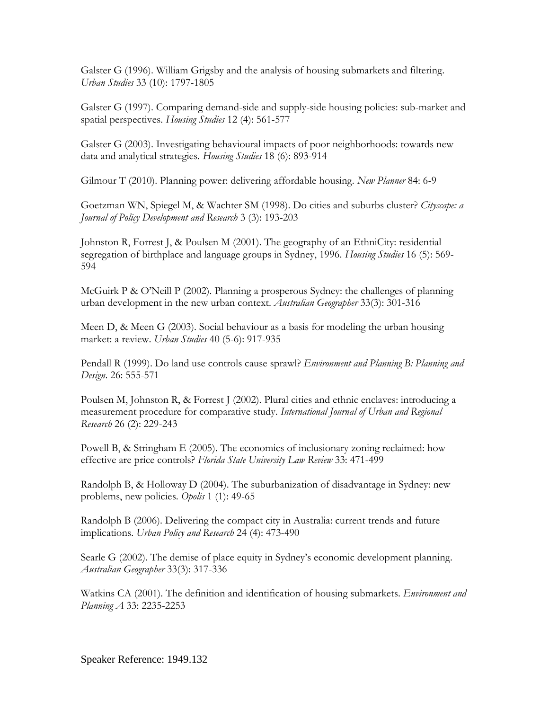Galster G (1996). William Grigsby and the analysis of housing submarkets and filtering. *Urban Studies* 33 (10): 1797-1805

Galster G (1997). Comparing demand-side and supply-side housing policies: sub-market and spatial perspectives. *Housing Studies* 12 (4): 561-577

Galster G (2003). Investigating behavioural impacts of poor neighborhoods: towards new data and analytical strategies. *Housing Studies* 18 (6): 893-914

Gilmour T (2010). Planning power: delivering affordable housing. *New Planner* 84: 6-9

Goetzman WN, Spiegel M, & Wachter SM (1998). Do cities and suburbs cluster? *Cityscape: a Journal of Policy Development and Research* 3 (3): 193-203

Johnston R, Forrest J, & Poulsen M (2001). The geography of an EthniCity: residential segregation of birthplace and language groups in Sydney, 1996. *Housing Studies* 16 (5): 569- 594

McGuirk P & O'Neill P (2002). Planning a prosperous Sydney: the challenges of planning urban development in the new urban context. *Australian Geographer* 33(3): 301-316

Meen D, & Meen G (2003). Social behaviour as a basis for modeling the urban housing market: a review. *Urban Studies* 40 (5-6): 917-935

Pendall R (1999). Do land use controls cause sprawl? *Environment and Planning B: Planning and Design*. 26: 555-571

Poulsen M, Johnston R, & Forrest J (2002). Plural cities and ethnic enclaves: introducing a measurement procedure for comparative study. *International Journal of Urban and Regional Research* 26 (2): 229-243

Powell B, & Stringham E (2005). The economics of inclusionary zoning reclaimed: how effective are price controls? *Florida State University Law Review* 33: 471-499

Randolph B, & Holloway D (2004). The suburbanization of disadvantage in Sydney: new problems, new policies. *Opolis* 1 (1): 49-65

Randolph B (2006). Delivering the compact city in Australia: current trends and future implications. *Urban Policy and Research* 24 (4): 473-490

Searle G (2002). The demise of place equity in Sydney's economic development planning. *Australian Geographer* 33(3): 317-336

Watkins CA (2001). The definition and identification of housing submarkets. *Environment and Planning A* 33: 2235-2253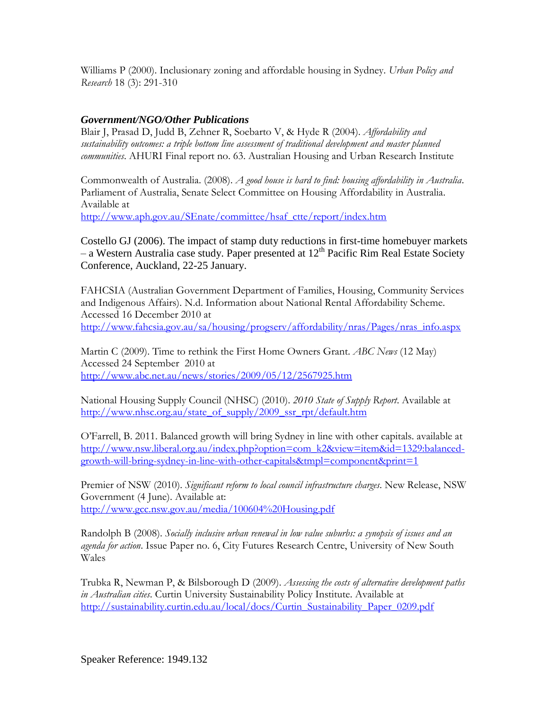Williams P (2000). Inclusionary zoning and affordable housing in Sydney. *Urban Policy and Research* 18 (3): 291-310

### *Government/NGO/Other Publications*

Blair J, Prasad D, Judd B, Zehner R, Soebarto V, & Hyde R (2004). *Affordability and sustainability outcomes: a triple bottom line assessment of traditional development and master planned communities*. AHURI Final report no. 63. Australian Housing and Urban Research Institute

Commonwealth of Australia. (2008). *A good house is hard to find: housing affordability in Australia*. Parliament of Australia, Senate Select Committee on Housing Affordability in Australia. Available at

[http://www.aph.gov.au/SEnate/committee/hsaf\\_ctte/report/index.htm](http://www.aph.gov.au/SEnate/committee/hsaf_ctte/report/index.htm)

Costello GJ (2006). The impact of stamp duty reductions in first-time homebuyer markets – a Western Australia case study. Paper presented at  $12<sup>th</sup>$  Pacific Rim Real Estate Society Conference, Auckland, 22-25 January.

FAHCSIA (Australian Government Department of Families, Housing, Community Services and Indigenous Affairs). N.d. Information about National Rental Affordability Scheme. Accessed 16 December 2010 at [http://www.fahcsia.gov.au/sa/housing/progserv/affordability/nras/Pages/nras\\_info.aspx](http://www.fahcsia.gov.au/sa/housing/progserv/affordability/nras/Pages/nras_info.aspx)

Martin C (2009). Time to rethink the First Home Owners Grant. *ABC News* (12 May) Accessed 24 September 2010 at <http://www.abc.net.au/news/stories/2009/05/12/2567925.htm>

National Housing Supply Council (NHSC) (2010). *2010 State of Supply Report*. Available at [http://www.nhsc.org.au/state\\_of\\_supply/2009\\_ssr\\_rpt/default.htm](http://www.nhsc.org.au/state_of_supply/2009_ssr_rpt/default.htm)

O'Farrell, B. 2011. Balanced growth will bring Sydney in line with other capitals. available at [http://www.nsw.liberal.org.au/index.php?option=com\\_k2&view=item&id=1329:balanced](http://www.nsw.liberal.org.au/index.php?option=com_k2&view=item&id=1329:balanced-growth-will-bring-sydney-in-line-with-other-capitals&tmpl=component&print=1)[growth-will-bring-sydney-in-line-with-other-capitals&tmpl=component&print=1](http://www.nsw.liberal.org.au/index.php?option=com_k2&view=item&id=1329:balanced-growth-will-bring-sydney-in-line-with-other-capitals&tmpl=component&print=1)

Premier of NSW (2010). *Significant reform to local council infrastructure charges*. New Release, NSW Government (4 June). Available at: <http://www.gcc.nsw.gov.au/media/100604%20Housing.pdf>

Randolph B (2008). *Socially inclusive urban renewal in low value suburbs: a synopsis of issues and an agenda for action*. Issue Paper no. 6, City Futures Research Centre, University of New South Wales

Trubka R, Newman P, & Bilsborough D (2009). *Assessing the costs of alternative development paths in Australian cities*. Curtin University Sustainability Policy Institute. Available at [http://sustainability.curtin.edu.au/local/docs/Curtin\\_Sustainability\\_Paper\\_0209.pdf](http://sustainability.curtin.edu.au/local/docs/Curtin_Sustainability_Paper_0209.pdf)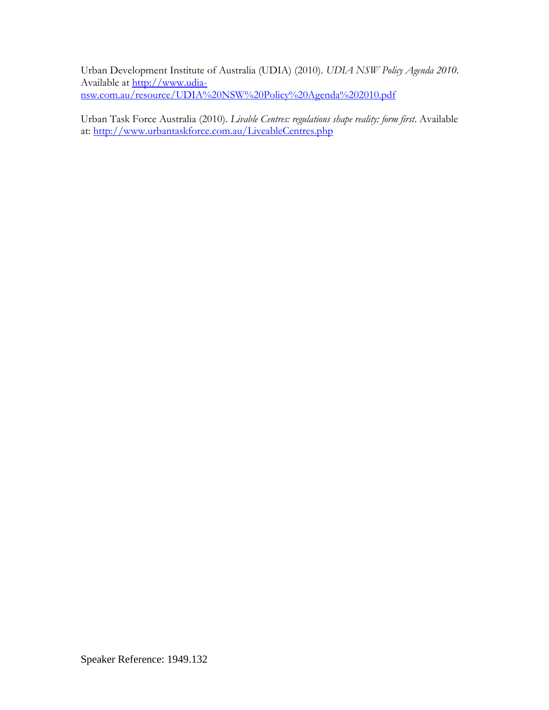Urban Development Institute of Australia (UDIA) (2010). *UDIA NSW Policy Agenda 2010*. Available at [http://www.udia](http://www.udia-nsw.com.au/resource/UDIA%20NSW%20Policy%20Agenda%202010.pdf)[nsw.com.au/resource/UDIA%20NSW%20Policy%20Agenda%202010.pdf](http://www.udia-nsw.com.au/resource/UDIA%20NSW%20Policy%20Agenda%202010.pdf)

Urban Task Force Australia (2010). *Livable Centres: regulations shape reality: form first*. Available at:<http://www.urbantaskforce.com.au/LiveableCentres.php>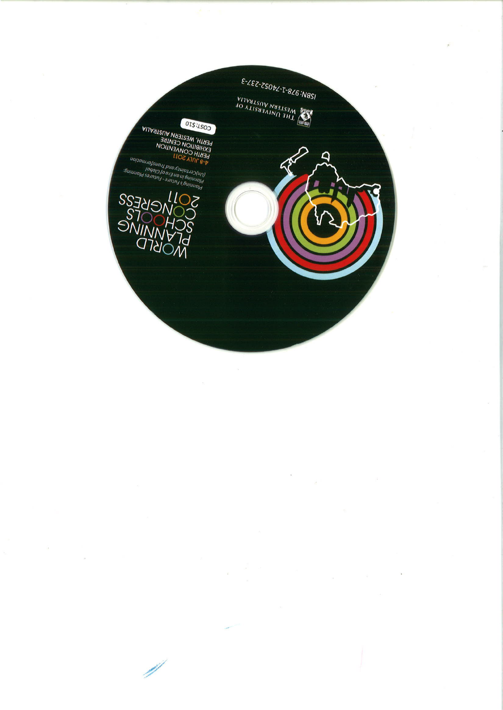

 $\bar{\nu}$ 

 $\tilde{\textbf{r}}$ 

×

 $\frac{1}{\sqrt{2}}\int_{0}^{\sqrt{2}}\frac{1}{\sqrt{2}}\left( \frac{1}{\sqrt{2}}\right) ^{2}d\mu d\nu$ 

 $\tilde{\mathcal{A}}$ 

 $\bar{g}_t$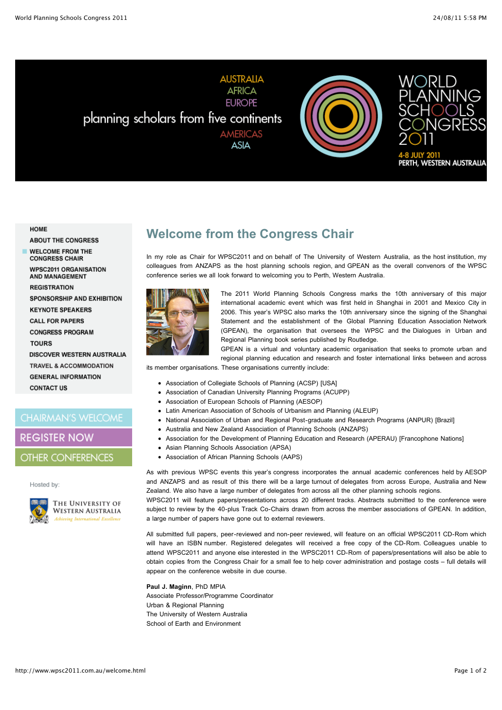**AUSTRALIA AFRICA EUROPE** planning scholars from five continents **AMERICAS ASIA** 





#### HOME

**ABOUT THE CONGRESS WELCOME FROM THE CONGRESS CHAIR WPSC2011 ORGANISATION AND MANAGEMENT REGISTRATION SPONSORSHIP AND EXHIBITION KEYNOTE SPEAKERS CALL FOR PAPERS CONGRESS PROGRAM TOURS DISCOVER WESTERN AUSTRALIA TRAVEL & ACCOMMODATION** 

**GENERAL INFORMATION CONTACT US** 

#### **CHAIRMAN'S WELCOME**

#### **REGISTER NOW**

#### **OTHER CONFERENCES**

#### Hosted by:



THE UNIVERSITY OF **WESTERN AUSTRALIA** 

## **Welcome from the Congress Chair**

In my role as Chair for WPSC2011 and on behalf of The University of Western Australia, as the host institution, my colleagues from ANZAPS as the host planning schools region, and GPEAN as the overall convenors of the WPSC conference series we all look forward to welcoming you to Perth, Western Australia.



The 2011 World Planning Schools Congress marks the 10th anniversary of this major international academic event which was first held in Shanghai in 2001 and Mexico City in 2006. This year's WPSC also marks the 10th anniversary since the signing of the Shanghai Statement and the establishment of the Global Planning Education Association Network (GPEAN), the organisation that oversees the WPSC and the Dialogues in Urban and Regional Planning book series published by Routledge.

GPEAN is a virtual and voluntary academic organisation that seeks to promote urban and regional planning education and research and foster international links between and across

its member organisations. These organisations currently include:

- Association of Collegiate Schools of Planning (ACSP) [USA]
- Association of Canadian University Planning Programs (ACUPP)
- Association of European Schools of Planning (AESOP)
- Latin American Association of Schools of Urbanism and Planning (ALEUP)
- National Association of Urban and Regional Post-graduate and Research Programs (ANPUR) [Brazil]
- Australia and New Zealand Association of Planning Schools (ANZAPS)
- Association for the Development of Planning Education and Research (APERAU) [Francophone Nations]
- Asian Planning Schools Association (APSA)
- Association of African Planning Schools (AAPS)

As with previous WPSC events this year's congress incorporates the annual academic conferences held by AESOP and ANZAPS and as result of this there will be a large turnout of delegates from across Europe, Australia and New Zealand. We also have a large number of delegates from across all the other planning schools regions.

WPSC2011 will feature papers/presentations across 20 different tracks. Abstracts submitted to the conference were subject to review by the 40-plus Track Co-Chairs drawn from across the member associations of GPEAN. In addition, a large number of papers have gone out to external reviewers.

All submitted full papers, peer-reviewed and non-peer reviewed, will feature on an official WPSC2011 CD-Rom which will have an ISBN number. Registered delegates will received a free copy of the CD-Rom. Colleagues unable to attend WPSC2011 and anyone else interested in the WPSC2011 CD-Rom of papers/presentations will also be able to obtain copies from the Congress Chair for a small fee to help cover administration and postage costs – full details will appear on the conference website in due course.

**Paul J. Maginn**, PhD MPIA Associate Professor/Programme Coordinator Urban & Regional Planning The University of Western Australia School of Earth and Environment